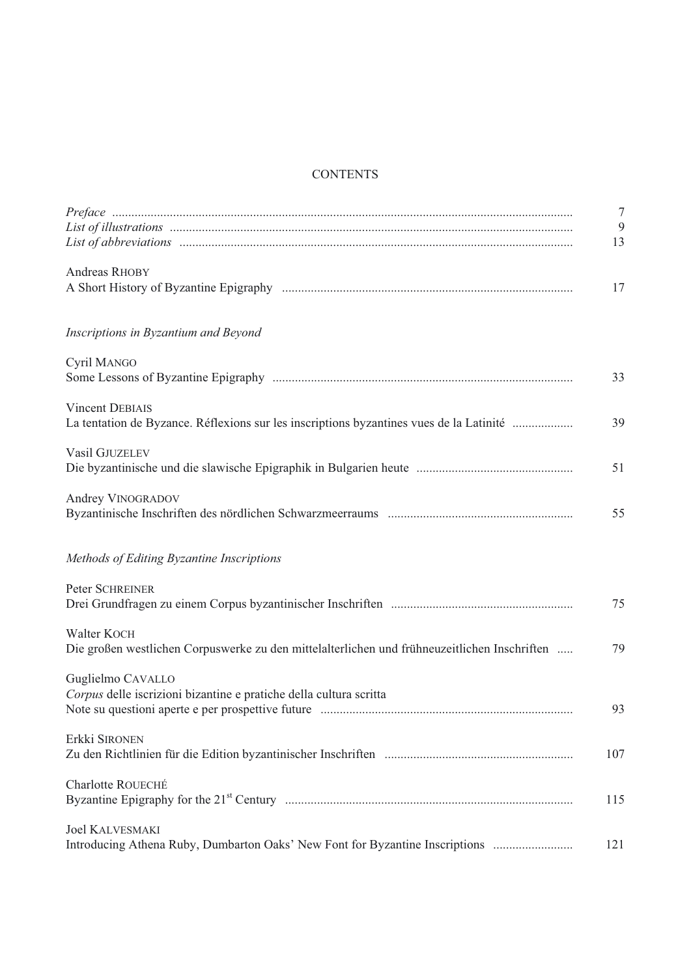## **CONTENTS**

|                                                                                                                   | $\overline{7}$<br>$\overline{9}$<br>13 |
|-------------------------------------------------------------------------------------------------------------------|----------------------------------------|
| Andreas RHOBY                                                                                                     | 17                                     |
| Inscriptions in Byzantium and Beyond                                                                              |                                        |
| Cyril MANGO                                                                                                       | 33                                     |
| <b>Vincent DEBIAIS</b><br>La tentation de Byzance. Réflexions sur les inscriptions byzantines vues de la Latinité | 39                                     |
| Vasil GJUZELEV                                                                                                    | 51                                     |
| Andrey VINOGRADOV                                                                                                 | 55                                     |
| Methods of Editing Byzantine Inscriptions                                                                         |                                        |
| Peter SCHREINER                                                                                                   | 75                                     |
| Walter KOCH<br>Die großen westlichen Corpuswerke zu den mittelalterlichen und frühneuzeitlichen Inschriften       | 79                                     |
| Guglielmo CAVALLO<br>Corpus delle iscrizioni bizantine e pratiche della cultura scritta                           | 93                                     |
| Erkki SIRONEN                                                                                                     | 107                                    |
| Charlotte ROUECHÉ                                                                                                 | 115                                    |
| <b>Joel KALVESMAKI</b><br>Introducing Athena Ruby, Dumbarton Oaks' New Font for Byzantine Inscriptions            | 121                                    |